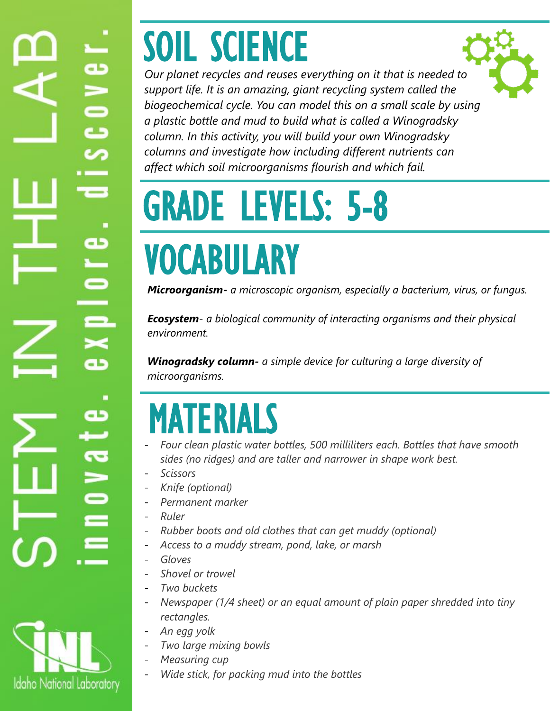# æ  $\frac{0}{2}$ lat

# SOIL SCIENCE



*Our planet recycles and reuses everything on it that is needed to support life. It is an amazing, giant recycling system called the biogeochemical cycle. You can model this on a small scale by using a plastic bottle and mud to build what is called a Winogradsky column. In this activity, you will build your own Winogradsky columns and investigate how including different nutrients can affect which soil microorganisms flourish and which fail.*

# GRADE LEVELS: 5-8 VOCABULARY

*Microorganism- a microscopic organism, especially a bacterium, virus, or fungus.*

*Ecosystem- a biological community of interacting organisms and their physical environment.*

*Winogradsky column- a simple device for culturing a large diversity of microorganisms.* 

## MATERIALS

- *Four clean plastic water bottles, 500 milliliters each. Bottles that have smooth sides (no ridges) and are taller and narrower in shape work best.*
- *Scissors*
- *Knife (optional)*
- *Permanent marker*
- *Ruler*
- *Rubber boots and old clothes that can get muddy (optional)*
- *Access to a muddy stream, pond, lake, or marsh*
- *Gloves*
- *Shovel or trowel*
- *Two buckets*
- *Newspaper (1/4 sheet) or an equal amount of plain paper shredded into tiny rectangles.*
- *An egg yolk*
- *Two large mixing bowls*
- *Measuring cup*
- *Wide stick, for packing mud into the bottles*

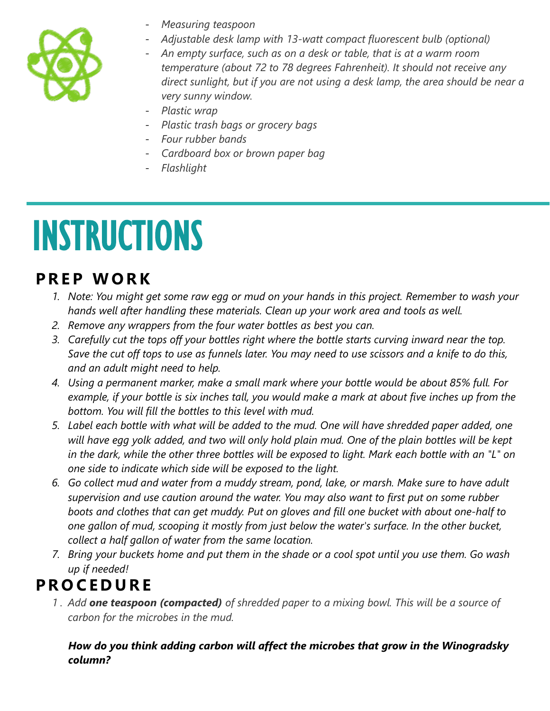

- *Measuring teaspoon*
- *Adjustable desk lamp with 13-watt compact fluorescent bulb (optional)*
- *An empty surface, such as on a desk or table, that is at a warm room temperature (about 72 to 78 degrees Fahrenheit). It should not receive any direct sunlight, but if you are not using a desk lamp, the area should be near a very sunny window.*
- *Plastic wrap*
- *Plastic trash bags or grocery bags*
- *Four rubber bands*
- *Cardboard box or brown paper bag*
- *Flashlight*

## INSTRUCTIONS

## **P R E P W O R K**

- *1. Note: You might get some raw egg or mud on your hands in this project. Remember to wash your hands well after handling these materials. Clean up your work area and tools as well.*
- *2. Remove any wrappers from the four water bottles as best you can.*
- *3. Carefully cut the tops off your bottles right where the bottle starts curving inward near the top. Save the cut off tops to use as funnels later. You may need to use scissors and a knife to do this, and an adult might need to help.*
- *4. Using a permanent marker, make a small mark where your bottle would be about 85% full. For example, if your bottle is six inches tall, you would make a mark at about five inches up from the bottom. You will fill the bottles to this level with mud.*
- *5. Label each bottle with what will be added to the mud. One will have shredded paper added, one will have egg yolk added, and two will only hold plain mud. One of the plain bottles will be kept in the dark, while the other three bottles will be exposed to light. Mark each bottle with an "L" on one side to indicate which side will be exposed to the light.*
- *6. Go collect mud and water from a muddy stream, pond, lake, or marsh. Make sure to have adult supervision and use caution around the water. You may also want to first put on some rubber boots and clothes that can get muddy. Put on gloves and fill one bucket with about one-half to one gallon of mud, scooping it mostly from just below the water's surface. In the other bucket, collect a half gallon of water from the same location.*
- *7. Bring your buckets home and put them in the shade or a cool spot until you use them. Go wash up if needed!*

## **P R O C E D U R E**

*1 . Add one teaspoon (compacted) of shredded paper to a mixing bowl. This will be a source of carbon for the microbes in the mud.*

*How do you think adding carbon will affect the microbes that grow in the Winogradsky column?*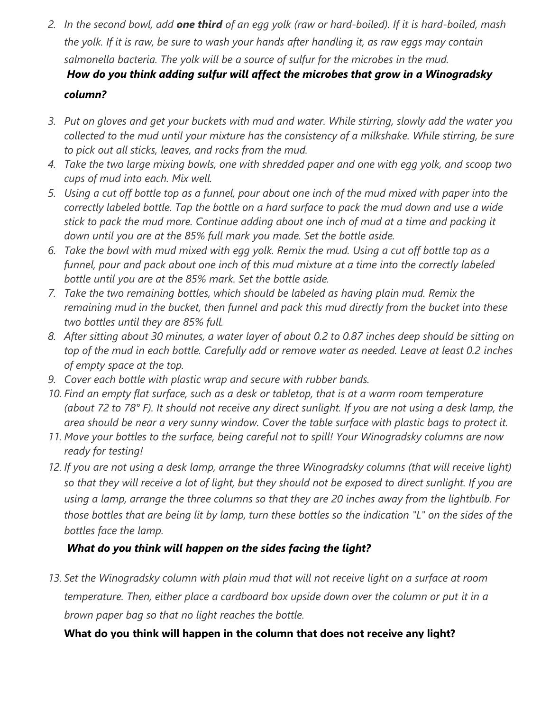*2. In the second bowl, add one third of an egg yolk (raw or hard-boiled). If it is hard-boiled, mash the yolk. If it is raw, be sure to wash your hands after handling it, as raw eggs may contain salmonella bacteria. The yolk will be a source of sulfur for the microbes in the mud. How do you think adding sulfur will affect the microbes that grow in a Winogradsky*

#### *column?*

- *3. Put on gloves and get your buckets with mud and water. While stirring, slowly add the water you collected to the mud until your mixture has the consistency of a milkshake. While stirring, be sure to pick out all sticks, leaves, and rocks from the mud.*
- *4. Take the two large mixing bowls, one with shredded paper and one with egg yolk, and scoop two cups of mud into each. Mix well.*
- *5. Using a cut off bottle top as a funnel, pour about one inch of the mud mixed with paper into the correctly labeled bottle. Tap the bottle on a hard surface to pack the mud down and use a wide stick to pack the mud more. Continue adding about one inch of mud at a time and packing it down until you are at the 85% full mark you made. Set the bottle aside.*
- *6. Take the bowl with mud mixed with egg yolk. Remix the mud. Using a cut off bottle top as a funnel, pour and pack about one inch of this mud mixture at a time into the correctly labeled bottle until you are at the 85% mark. Set the bottle aside.*
- *7. Take the two remaining bottles, which should be labeled as having plain mud. Remix the remaining mud in the bucket, then funnel and pack this mud directly from the bucket into these two bottles until they are 85% full.*
- *8. After sitting about 30 minutes, a water layer of about 0.2 to 0.87 inches deep should be sitting on top of the mud in each bottle. Carefully add or remove water as needed. Leave at least 0.2 inches of empty space at the top.*
- *9. Cover each bottle with plastic wrap and secure with rubber bands.*
- *10. Find an empty flat surface, such as a desk or tabletop, that is at a warm room temperature (about 72 to 78° F). It should not receive any direct sunlight. If you are not using a desk lamp, the area should be near a very sunny window. Cover the table surface with plastic bags to protect it.*
- *11. Move your bottles to the surface, being careful not to spill! Your Winogradsky columns are now ready for testing!*
- *12. If you are not using a desk lamp, arrange the three Winogradsky columns (that will receive light) so that they will receive a lot of light, but they should not be exposed to direct sunlight. If you are using a lamp, arrange the three columns so that they are 20 inches away from the lightbulb. For those bottles that are being lit by lamp, turn these bottles so the indication "L" on the sides of the bottles face the lamp.*

#### *What do you think will happen on the sides facing the light?*

*13. Set the Winogradsky column with plain mud that will not receive light on a surface at room temperature. Then, either place a cardboard box upside down over the column or put it in a brown paper bag so that no light reaches the bottle.*

#### **What do you think will happen in the column that does not receive any light?**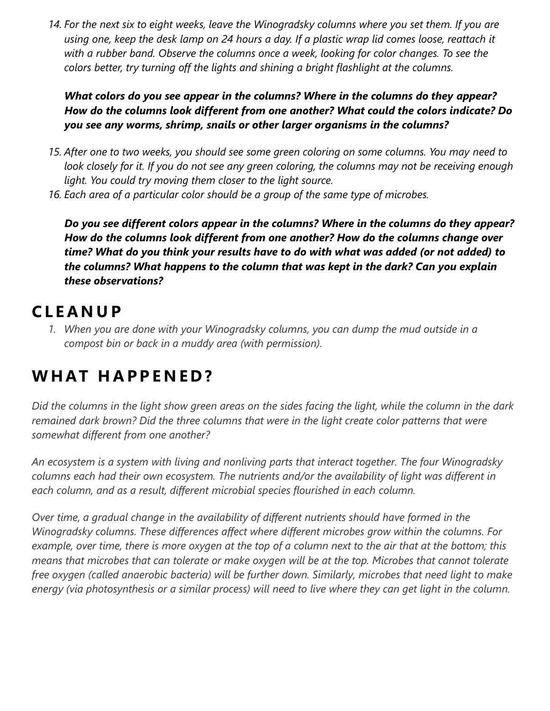*14. For the next six to eight weeks, leave the Winogradsky columns where you set them. If you are using one, keep the desk lamp on 24 hours a day. If a plastic wrap lid comes loose, reattach it with a rubber band. Observe the columns once a week, looking for color changes. To see the colors better, try turning off the lights and shining a bright flashlight at the columns.*

*What colors do you see appear in the columns? Where in the columns do they appear? How do the columns look different from one another? What could the colors indicate? Do you see any worms, shrimp, snails or other larger organisms in the columns?*

- *15. After one to two weeks, you should see some green coloring on some columns. You may need to look closely for it. If you do not see any green coloring, the columns may not be receiving enough light. You could try moving them closer to the light source.*
- *16. Each area of a particular color should be a group of the same type of microbes.*

*Do you see different colors appear in the columns? Where in the columns do they appear? How do the columns look different from one another? How do the columns change over time? What do you think your results have to do with what was added (or not added) to the columns? What happens to the column that was kept in the dark? Can you explain these observations?*

### **C L E A N U P**

*1. When you are done with your Winogradsky columns, you can dump the mud outside in a compost bin or back in a muddy area (with permission).*

## **W H AT H A P P E N E D ?**

*Did the columns in the light show green areas on the sides facing the light, while the column in the dark remained dark brown? Did the three columns that were in the light create color patterns that were somewhat different from one another?*

*An ecosystem is a system with living and nonliving parts that interact together. The four Winogradsky columns each had their own ecosystem. The nutrients and/or the availability of light was different in each column, and as a result, different microbial species flourished in each column.*

*Over time, a gradual change in the availability of different nutrients should have formed in the Winogradsky columns. These differences affect where different microbes grow within the columns. For example, over time, there is more oxygen at the top of a column next to the air that at the bottom; this means that microbes that can tolerate or make oxygen will be at the top. Microbes that cannot tolerate free oxygen (called anaerobic bacteria) will be further down. Similarly, microbes that need light to make energy (via photosynthesis or a similar process) will need to live where they can get light in the column.*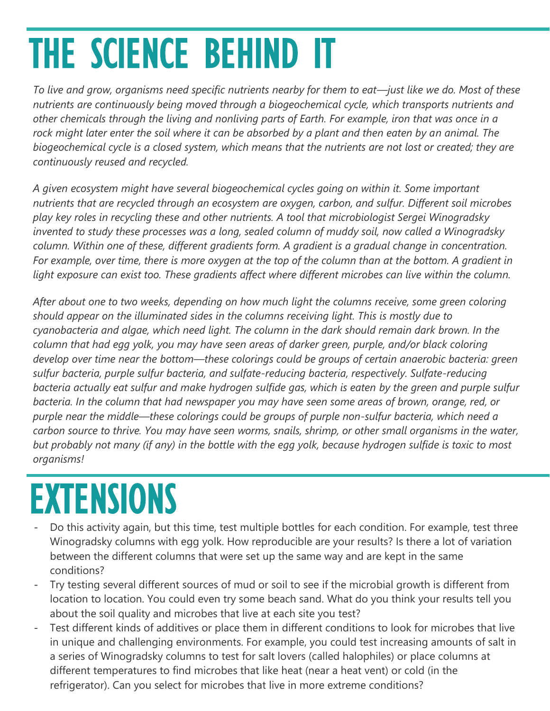# THE SCIENCE BEHIND IT

*To live and grow, organisms need specific nutrients nearby for them to eat—just like we do. Most of these nutrients are continuously being moved through a biogeochemical cycle, which transports nutrients and other chemicals through the living and nonliving parts of Earth. For example, iron that was once in a rock might later enter the soil where it can be absorbed by a plant and then eaten by an animal. The biogeochemical cycle is a closed system, which means that the nutrients are not lost or created; they are continuously reused and recycled.*

*A given ecosystem might have several biogeochemical cycles going on within it. Some important nutrients that are recycled through an ecosystem are oxygen, carbon, and sulfur. Different soil microbes play key roles in recycling these and other nutrients. A tool that microbiologist Sergei Winogradsky invented to study these processes was a long, sealed column of muddy soil, now called a Winogradsky column. Within one of these, different gradients form. A gradient is a gradual change in concentration. For example, over time, there is more oxygen at the top of the column than at the bottom. A gradient in light exposure can exist too. These gradients affect where different microbes can live within the column.*

*After about one to two weeks, depending on how much light the columns receive, some green coloring should appear on the illuminated sides in the columns receiving light. This is mostly due to cyanobacteria and algae, which need light. The column in the dark should remain dark brown. In the column that had egg yolk, you may have seen areas of darker green, purple, and/or black coloring develop over time near the bottom—these colorings could be groups of certain anaerobic bacteria: green sulfur bacteria, purple sulfur bacteria, and sulfate-reducing bacteria, respectively. Sulfate-reducing bacteria actually eat sulfur and make hydrogen sulfide gas, which is eaten by the green and purple sulfur bacteria. In the column that had newspaper you may have seen some areas of brown, orange, red, or purple near the middle—these colorings could be groups of purple non-sulfur bacteria, which need a carbon source to thrive. You may have seen worms, snails, shrimp, or other small organisms in the water, but probably not many (if any) in the bottle with the egg yolk, because hydrogen sulfide is toxic to most organisms!*

## EXTENSIONS

- Do this activity again, but this time, test multiple bottles for each condition. For example, test three Winogradsky columns with egg yolk. How reproducible are your results? Is there a lot of variation between the different columns that were set up the same way and are kept in the same conditions?
- Try testing several different sources of mud or soil to see if the microbial growth is different from location to location. You could even try some beach sand. What do you think your results tell you about the soil quality and microbes that live at each site you test?
- Test different kinds of additives or place them in different conditions to look for microbes that live in unique and challenging environments. For example, you could test increasing amounts of salt in a series of Winogradsky columns to test for salt lovers (called halophiles) or place columns at different temperatures to find microbes that like heat (near a heat vent) or cold (in the refrigerator). Can you select for microbes that live in more extreme conditions?